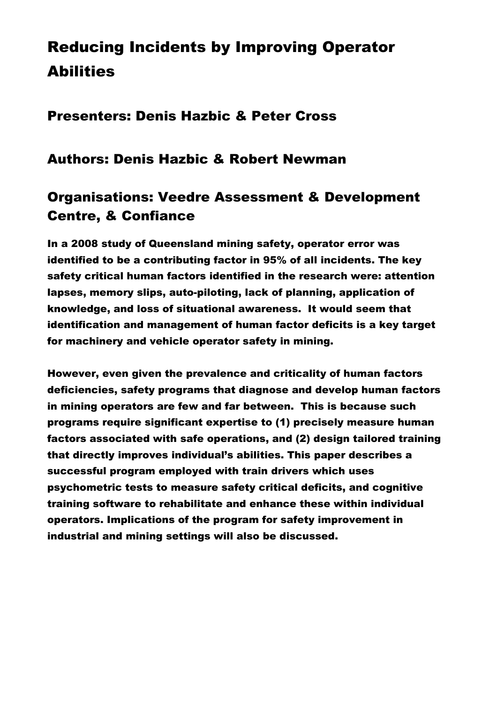## Reducing Incidents by Improving Operator **Abilities**

## Presenters: Denis Hazbic & Peter Cross

## Authors: Denis Hazbic & Robert Newman

## Organisations: Veedre Assessment & Development Centre, & Confiance

In a 2008 study of Queensland mining safety, operator error was identified to be a contributing factor in 95% of all incidents. The key safety critical human factors identified in the research were: attention lapses, memory slips, auto-piloting, lack of planning, application of knowledge, and loss of situational awareness. It would seem that identification and management of human factor deficits is a key target for machinery and vehicle operator safety in mining.

However, even given the prevalence and criticality of human factors deficiencies, safety programs that diagnose and develop human factors in mining operators are few and far between. This is because such programs require significant expertise to (1) precisely measure human factors associated with safe operations, and (2) design tailored training that directly improves individual's abilities. This paper describes a successful program employed with train drivers which uses psychometric tests to measure safety critical deficits, and cognitive training software to rehabilitate and enhance these within individual operators. Implications of the program for safety improvement in industrial and mining settings will also be discussed.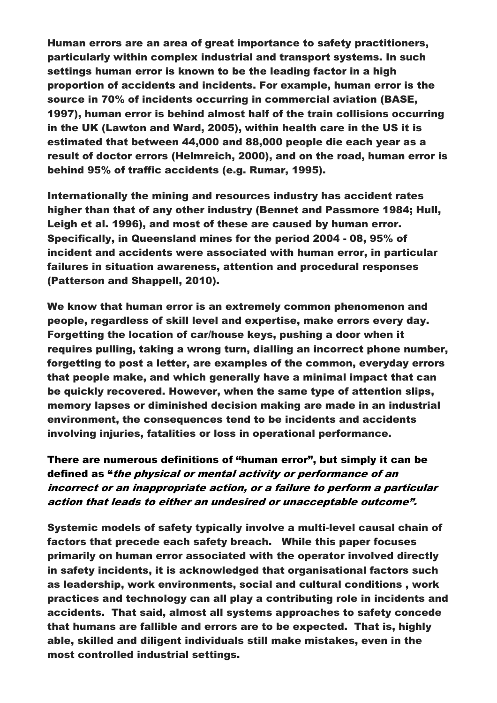Human errors are an area of great importance to safety practitioners, particularly within complex industrial and transport systems. In such settings human error is known to be the leading factor in a high proportion of accidents and incidents. For example, human error is the source in 70% of incidents occurring in commercial aviation (BASE, 1997), human error is behind almost half of the train collisions occurring in the UK (Lawton and Ward, 2005), within health care in the US it is estimated that between 44,000 and 88,000 people die each year as a result of doctor errors (Helmreich, 2000), and on the road, human error is behind 95% of traffic accidents (e.g. Rumar, 1995).

Internationally the mining and resources industry has accident rates higher than that of any other industry (Bennet and Passmore 1984; Hull, Leigh et al. 1996), and most of these are caused by human error. Specifically, in Queensland mines for the period 2004 - 08, 95% of incident and accidents were associated with human error, in particular failures in situation awareness, attention and procedural responses (Patterson and Shappell, 2010).

We know that human error is an extremely common phenomenon and people, regardless of skill level and expertise, make errors every day. Forgetting the location of car/house keys, pushing a door when it requires pulling, taking a wrong turn, dialling an incorrect phone number, forgetting to post a letter, are examples of the common, everyday errors that people make, and which generally have a minimal impact that can be quickly recovered. However, when the same type of attention slips, memory lapses or diminished decision making are made in an industrial environment, the consequences tend to be incidents and accidents involving injuries, fatalities or loss in operational performance.

There are numerous definitions of "human error", but simply it can be defined as "the physical or mental activity or performance of an incorrect or an inappropriate action, or a failure to perform a particular action that leads to either an undesired or unacceptable outcome".

Systemic models of safety typically involve a multi-level causal chain of factors that precede each safety breach. While this paper focuses primarily on human error associated with the operator involved directly in safety incidents, it is acknowledged that organisational factors such as leadership, work environments, social and cultural conditions , work practices and technology can all play a contributing role in incidents and accidents. That said, almost all systems approaches to safety concede that humans are fallible and errors are to be expected. That is, highly able, skilled and diligent individuals still make mistakes, even in the most controlled industrial settings.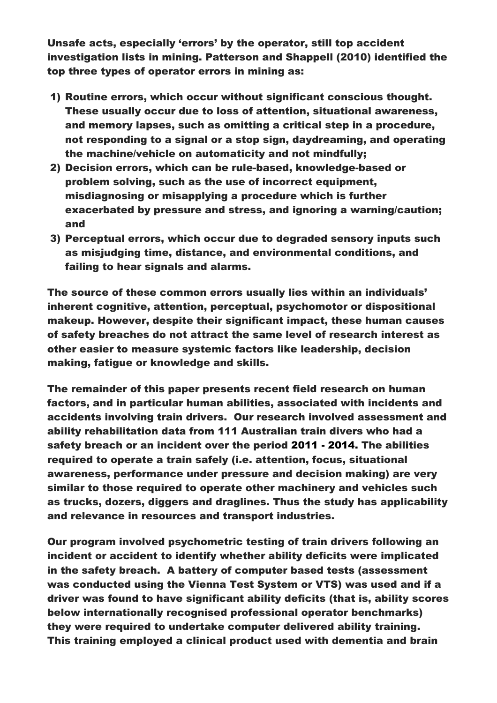Unsafe acts, especially 'errors' by the operator, still top accident investigation lists in mining. Patterson and Shappell (2010) identified the top three types of operator errors in mining as:

- 1) Routine errors, which occur without significant conscious thought. These usually occur due to loss of attention, situational awareness, and memory lapses, such as omitting a critical step in a procedure, not responding to a signal or a stop sign, daydreaming, and operating the machine/vehicle on automaticity and not mindfully;
- 2) Decision errors, which can be rule-based, knowledge-based or problem solving, such as the use of incorrect equipment, misdiagnosing or misapplying a procedure which is further exacerbated by pressure and stress, and ignoring a warning/caution; and
- 3) Perceptual errors, which occur due to degraded sensory inputs such as misjudging time, distance, and environmental conditions, and failing to hear signals and alarms.

The source of these common errors usually lies within an individuals' inherent cognitive, attention, perceptual, psychomotor or dispositional makeup. However, despite their significant impact, these human causes of safety breaches do not attract the same level of research interest as other easier to measure systemic factors like leadership, decision making, fatigue or knowledge and skills.

The remainder of this paper presents recent field research on human factors, and in particular human abilities, associated with incidents and accidents involving train drivers. Our research involved assessment and ability rehabilitation data from 111 Australian train divers who had a safety breach or an incident over the period 2011 - 2014. The abilities required to operate a train safely (i.e. attention, focus, situational awareness, performance under pressure and decision making) are very similar to those required to operate other machinery and vehicles such as trucks, dozers, diggers and draglines. Thus the study has applicability and relevance in resources and transport industries.

Our program involved psychometric testing of train drivers following an incident or accident to identify whether ability deficits were implicated in the safety breach. A battery of computer based tests (assessment was conducted using the Vienna Test System or VTS) was used and if a driver was found to have significant ability deficits (that is, ability scores below internationally recognised professional operator benchmarks) they were required to undertake computer delivered ability training. This training employed a clinical product used with dementia and brain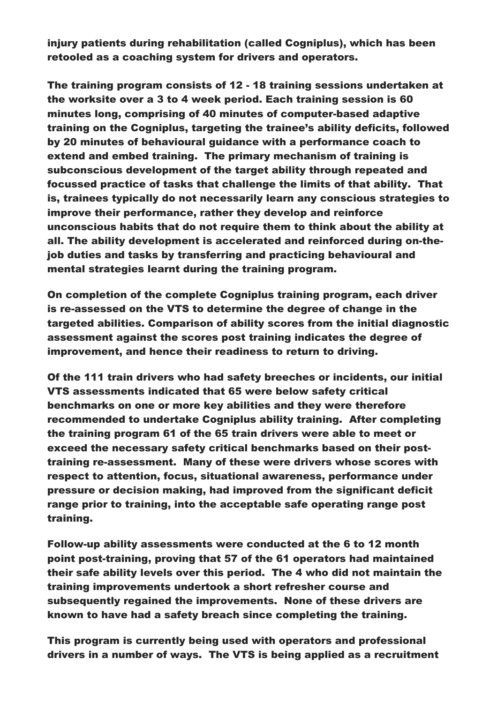injury patients during rehabilitation (called Cogniplus), which has been retooled as a coaching system for drivers and operators.

The training program consists of 12 - 18 training sessions undertaken at the worksite over a 3 to 4 week period. Each training session is 60 minutes long, comprising of 40 minutes of computer-based adaptive training on the Cogniplus, targeting the trainee's ability deficits, followed by 20 minutes of behavioural guidance with a performance coach to extend and embed training. The primary mechanism of training is subconscious development of the target ability through repeated and focussed practice of tasks that challenge the limits of that ability. That is, trainees typically do not necessarily learn any conscious strategies to improve their performance, rather they develop and reinforce unconscious habits that do not require them to think about the ability at all. The ability development is accelerated and reinforced during on-thejob duties and tasks by transferring and practicing behavioural and mental strategies learnt during the training program.

On completion of the complete Cogniplus training program, each driver is re-assessed on the VTS to determine the degree of change in the targeted abilities. Comparison of ability scores from the initial diagnostic assessment against the scores post training indicates the degree of improvement, and hence their readiness to return to driving.

Of the 111 train drivers who had safety breeches or incidents, our initial VTS assessments indicated that 65 were below safety critical benchmarks on one or more key abilities and they were therefore recommended to undertake Cogniplus ability training. After completing the training program 61 of the 65 train drivers were able to meet or exceed the necessary safety critical benchmarks based on their posttraining re-assessment. Many of these were drivers whose scores with respect to attention, focus, situational awareness, performance under pressure or decision making, had improved from the significant deficit range prior to training, into the acceptable safe operating range post training.

Follow-up ability assessments were conducted at the 6 to 12 month point post-training, proving that 57 of the 61 operators had maintained their safe ability levels over this period. The 4 who did not maintain the training improvements undertook a short refresher course and subsequently regained the improvements. None of these drivers are known to have had a safety breach since completing the training.

This program is currently being used with operators and professional drivers in a number of ways. The VTS is being applied as a recruitment